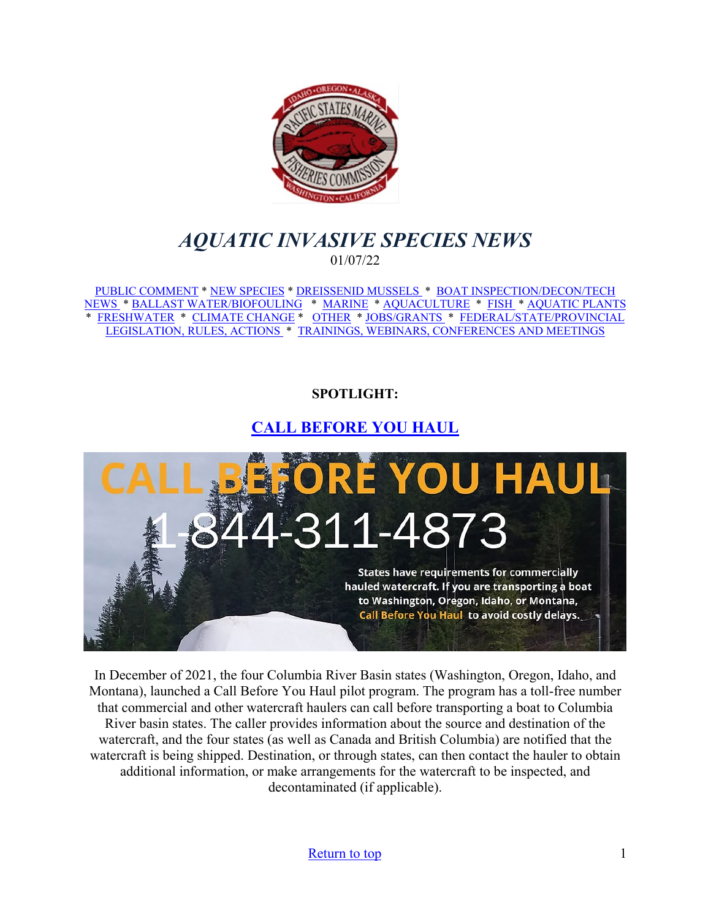<span id="page-0-0"></span>

# *AQUATIC INVASIVE SPECIES NEWS* 01/07/22

[PUBLIC COMMENT](#page-1-0) \* [NEW SPECIES](#page-1-1) \* [DREISSENID MUSSELS](#page-2-0) \* [BOAT INSPECTION/DECON/TECH](#page-3-0)  [NEWS](#page-3-0) [\\* BALLAST WATER/BIOFOULING](#page-3-1) \* [MARINE](#page-3-2) \* [AQUACULTURE](#page-3-3) \* [FISH](#page-4-0) \* [AQUATIC PLANTS](#page-5-0)  \* [FRESHWATER](#page-6-0) \* [CLIMATE CHANGE](#page-6-1) \* [OTHER](#page-7-0) \* [JOBS/GRANTS](#page-8-0) \* [FEDERAL/STATE/PROVINCIAL](#page-13-0)  [LEGISLATION, RULES, ACTIONS](#page-13-0) \* [TRAININGS, WEBINARS, CONFERENCES AND MEETINGS](#page-14-0) 

## **SPOTLIGHT:**

# **[CALL BEFORE YOU HAUL](https://www.westernais.org/watercraft)**



In December of 2021, the four Columbia River Basin states (Washington, Oregon, Idaho, and Montana), launched a Call Before You Haul pilot program. The program has a toll-free number that commercial and other watercraft haulers can call before transporting a boat to Columbia River basin states. The caller provides information about the source and destination of the watercraft, and the four states (as well as Canada and British Columbia) are notified that the watercraft is being shipped. Destination, or through states, can then contact the hauler to obtain additional information, or make arrangements for the watercraft to be inspected, and decontaminated (if applicable).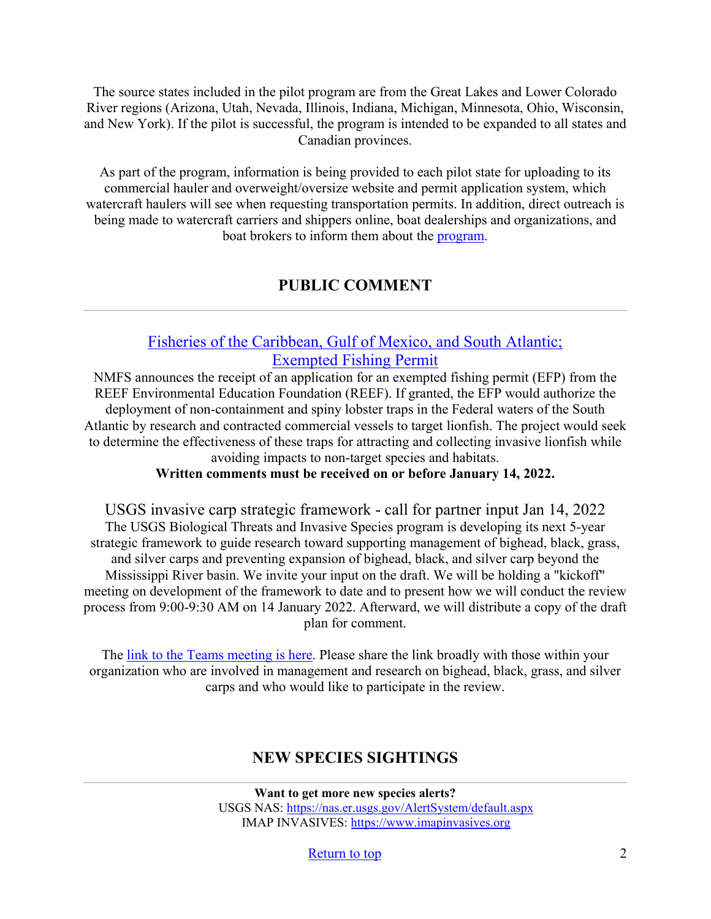The source states included in the pilot program are from the Great Lakes and Lower Colorado River regions (Arizona, Utah, Nevada, Illinois, Indiana, Michigan, Minnesota, Ohio, Wisconsin, and New York). If the pilot is successful, the program is intended to be expanded to all states and Canadian provinces.

As part of the program, information is being provided to each pilot state for uploading to its commercial hauler and overweight/oversize website and permit application system, which watercraft haulers will see when requesting transportation permits. In addition, direct outreach is being made to watercraft carriers and shippers online, boat dealerships and organizations, and boat brokers to inform them about the [program.](https://www.westernais.org/watercraft)

## **PUBLIC COMMENT**

## <span id="page-1-0"></span>[Fisheries of the Caribbean, Gulf of Mexico, and South Atlantic;](https://www.federalregister.gov/documents/2021/12/30/2021-28352/fisheries-of-the-caribbean-gulf-of-mexico-and-south-atlantic-exempted-fishing-permit)  [Exempted Fishing Permit](https://www.federalregister.gov/documents/2021/12/30/2021-28352/fisheries-of-the-caribbean-gulf-of-mexico-and-south-atlantic-exempted-fishing-permit)

NMFS announces the receipt of an application for an exempted fishing permit (EFP) from the REEF Environmental Education Foundation (REEF). If granted, the EFP would authorize the deployment of non-containment and spiny lobster traps in the Federal waters of the South Atlantic by research and contracted commercial vessels to target lionfish. The project would seek to determine the effectiveness of these traps for attracting and collecting invasive lionfish while avoiding impacts to non-target species and habitats.

**Written comments must be received on or before January 14, 2022.**

USGS invasive carp strategic framework - call for partner input Jan 14, 2022 The USGS Biological Threats and Invasive Species program is developing its next 5-year strategic framework to guide research toward supporting management of bighead, black, grass, and silver carps and preventing expansion of bighead, black, and silver carp beyond the Mississippi River basin. We invite your input on the draft. We will be holding a "kickoff" meeting on development of the framework to date and to present how we will conduct the review process from 9:00-9:30 AM on 14 January 2022. Afterward, we will distribute a copy of the draft plan for comment.

<span id="page-1-1"></span>The [link to the Teams meeting is here.](https://teams.microsoft.com/l/meetup-join/19%3ameeting_OTIyNWEwZTUtMWY4YS00MGI5LWJmNzgtODg2MDUwMTZlZGUz%40thread.v2/0?context=%7b%22Tid%22%3a%220693b5ba-4b18-4d7b-9341-f32f400a5494%22%2c%22Oid%22%3a%22002525b5-0cf7-471d-b7b8-7bafcb61f6b4%22%7d) Please share the link broadly with those within your organization who are involved in management and research on bighead, black, grass, and silver carps and who would like to participate in the review.

## **NEW SPECIES SIGHTINGS**

**Want to get more new species alerts?** USGS NAS:<https://nas.er.usgs.gov/AlertSystem/default.aspx> IMAP INVASIVES: [https://www.imapinvasives.org](https://www.imapinvasives.org/)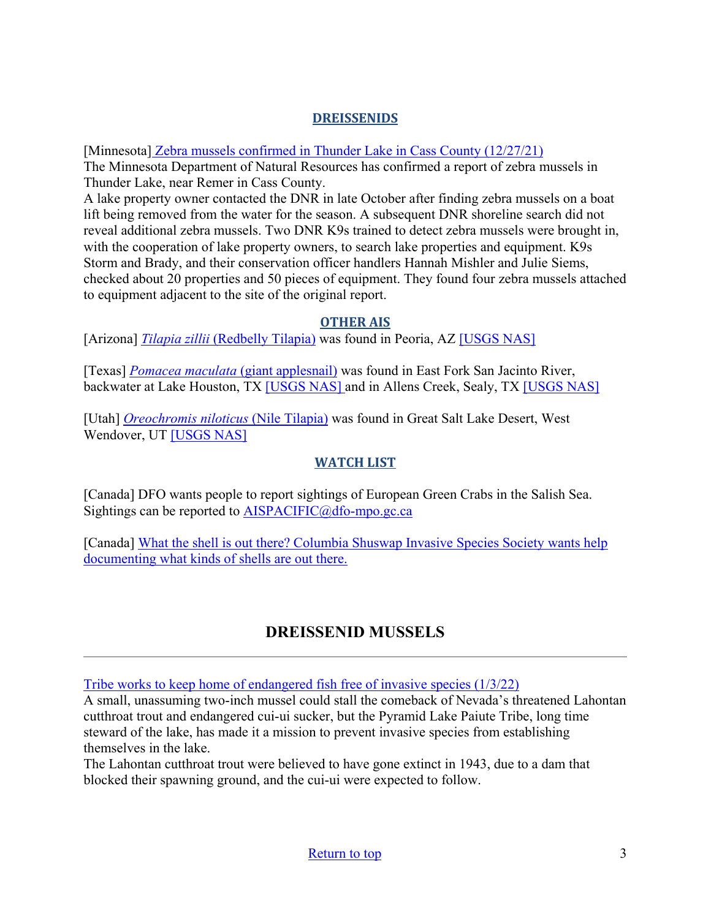#### **DREISSENIDS**

[Minnesota[\] Zebra mussels confirmed in Thunder Lake in Cass County \(12/27/21\)](https://www.dnr.state.mn.us/news/2021/12/27/zebra-mussels-confirmed-thunder-lake-cass-county)

The Minnesota Department of Natural Resources has confirmed a report of zebra mussels in Thunder Lake, near Remer in Cass County.

A lake property owner contacted the DNR in late October after finding zebra mussels on a boat lift being removed from the water for the season. A subsequent DNR shoreline search did not reveal additional zebra mussels. Two DNR K9s trained to detect zebra mussels were brought in, with the cooperation of lake property owners, to search lake properties and equipment. K9s Storm and Brady, and their conservation officer handlers Hannah Mishler and Julie Siems, checked about 20 properties and 50 pieces of equipment. They found four zebra mussels attached to equipment adjacent to the site of the original report.

#### **OTHER AIS**

[Arizona] *Tilapia zillii* [\(Redbelly Tilapia\)](https://nas.er.usgs.gov/queries/SpResults.aspx?SpeciesID=485) was found in Peoria, AZ [\[USGS NAS\]](https://nas.er.usgs.gov/queries/specimenviewer.aspx?SpecimenID=1679324)

[Texas] *[Pomacea maculata](https://nas.er.usgs.gov/queries/SpResults.aspx?SpeciesID=2633)* (giant applesnail) was found in East Fork San Jacinto River, backwater at Lake Houston, TX [\[USGS NAS\]](https://nas.er.usgs.gov/queries/specimenviewer.aspx?SpecimenID=1680180) and in Allens Creek, Sealy, TX [\[USGS NAS\]](https://nas.er.usgs.gov/queries/specimenviewer.aspx?SpecimenID=1680170)

[Utah] *[Oreochromis niloticus](https://nas.er.usgs.gov/queries/SpResults.aspx?SpeciesID=468)* (Nile Tilapia) was found in Great Salt Lake Desert, West Wendover, UT [\[USGS NAS\]](https://nas.er.usgs.gov/queries/specimenviewer.aspx?SpecimenID=1679881)

## **WATCH LIST**

[Canada] DFO wants people to report sightings of European Green Crabs in the Salish Sea. Sightings can be reported to **AISPACIFIC**@dfo-mpo.gc.ca

[Canada] [What the shell is out there? Columbia Shuswap Invasive Species Society wants help](https://www.castanet.net/news/Salmon-Arm/344047/Columbia-Shuswap-Invasive-Species-Society-wants-help-documenting-what-kinds-of-shells-are-out-there)  [documenting what kinds of shells are out there.](https://www.castanet.net/news/Salmon-Arm/344047/Columbia-Shuswap-Invasive-Species-Society-wants-help-documenting-what-kinds-of-shells-are-out-there) 

# **DREISSENID MUSSELS**

<span id="page-2-0"></span>[Tribe works to keep home of endangered fish free of invasive species \(1/3/22\)](https://www.nevadacurrent.com/2022/01/03/tribe-works-to-keep-home-of-endangered-fish-free-of-invasive-species/)

A small, unassuming two-inch mussel could stall the comeback of Nevada's threatened Lahontan cutthroat trout and endangered cui-ui sucker, but the Pyramid Lake Paiute Tribe, long time steward of the lake, has made it a mission to prevent invasive species from establishing themselves in the lake.

The Lahontan cutthroat trout were believed to have gone extinct in 1943, due to a dam that blocked their spawning ground, and the cui-ui were expected to follow.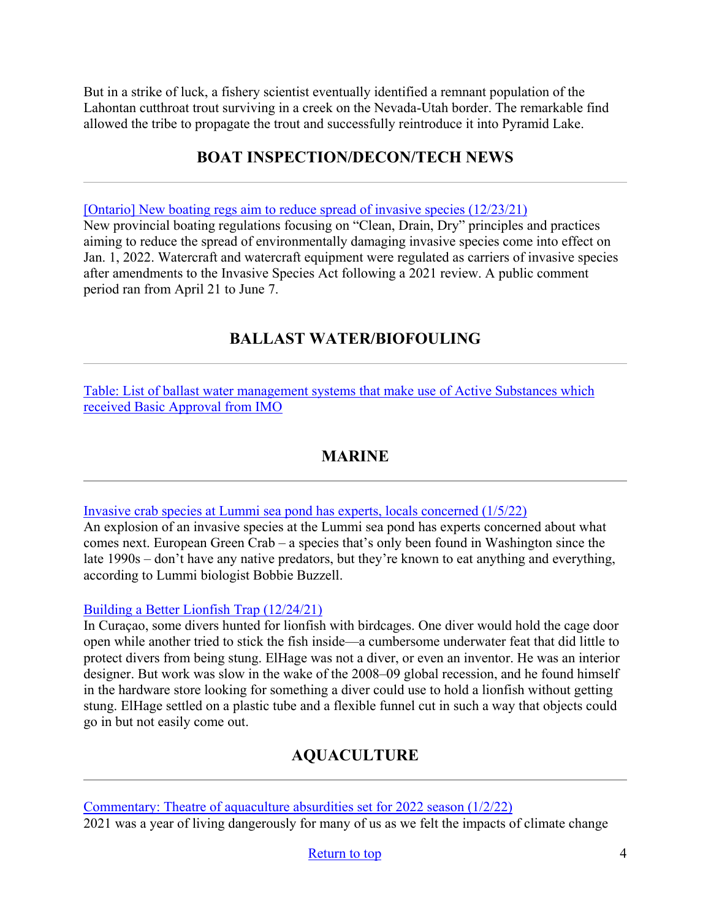But in a strike of luck, a fishery scientist eventually identified a remnant population of the Lahontan cutthroat trout surviving in a creek on the Nevada-Utah border. The remarkable find allowed the tribe to propagate the trout and successfully reintroduce it into Pyramid Lake.

## **BOAT INSPECTION/DECON/TECH NEWS**

<span id="page-3-0"></span>[\[Ontario\] New boating regs aim to reduce spread of invasive species \(12/23/21\)](https://oodmag.com/new-boating-regs-aim-to-reduce-spread-of-invasive-species/)

New provincial boating regulations focusing on "Clean, Drain, Dry" principles and practices aiming to reduce the spread of environmentally damaging invasive species come into effect on Jan. 1, 2022. Watercraft and watercraft equipment were regulated as carriers of invasive species after amendments to the Invasive Species Act following a 2021 review. A public comment period ran from April 21 to June 7.

# **BALLAST WATER/BIOFOULING**

<span id="page-3-1"></span>[Table: List of ballast water management systems that make use of Active Substances which](https://wwwcdn.imo.org/localresources/en/OurWork/Environment/Documents/Table%20of%20BA%20FA%20and%20TA,%20updated%20December%202021.pdf)  [received Basic Approval from IMO](https://wwwcdn.imo.org/localresources/en/OurWork/Environment/Documents/Table%20of%20BA%20FA%20and%20TA,%20updated%20December%202021.pdf) 

## **MARINE**

<span id="page-3-2"></span>[Invasive crab species at Lummi sea pond has experts, locals concerned \(1/5/22\)](https://www.q13fox.com/news/invasive-crab-species-at-lummi-sea-pond-has-experts-locals-concerned)

An explosion of an invasive species at the Lummi sea pond has experts concerned about what comes next. European Green Crab – a species that's only been found in Washington since the late 1990s – don't have any native predators, but they're known to eat anything and everything, according to Lummi biologist Bobbie Buzzell.

#### [Building a Better Lionfish Trap \(12/24/21\)](https://www.sierraclub.org/sierra/2021-6-winter/notes-here-there/building-better-lionfish-trap)

In Curaçao, some divers hunted for lionfish with birdcages. One diver would hold the cage door open while another tried to stick the fish inside—a cumbersome underwater feat that did little to protect divers from being stung. ElHage was not a diver, or even an inventor. He was an interior designer. But work was slow in the wake of the 2008–09 global recession, and he found himself in the hardware store looking for something a diver could use to hold a lionfish without getting stung. ElHage settled on a plastic tube and a flexible funnel cut in such a way that objects could go in but not easily come out.

## **AQUACULTURE**

<span id="page-3-3"></span>[Commentary: Theatre of aquaculture absurdities set for 2022 season \(1/2/22\)](https://seawestnews.com/theatre-of-aquaculture-absurdities-set-for-2022-season/) 2021 was a year of living dangerously for many of us as we felt the impacts of climate change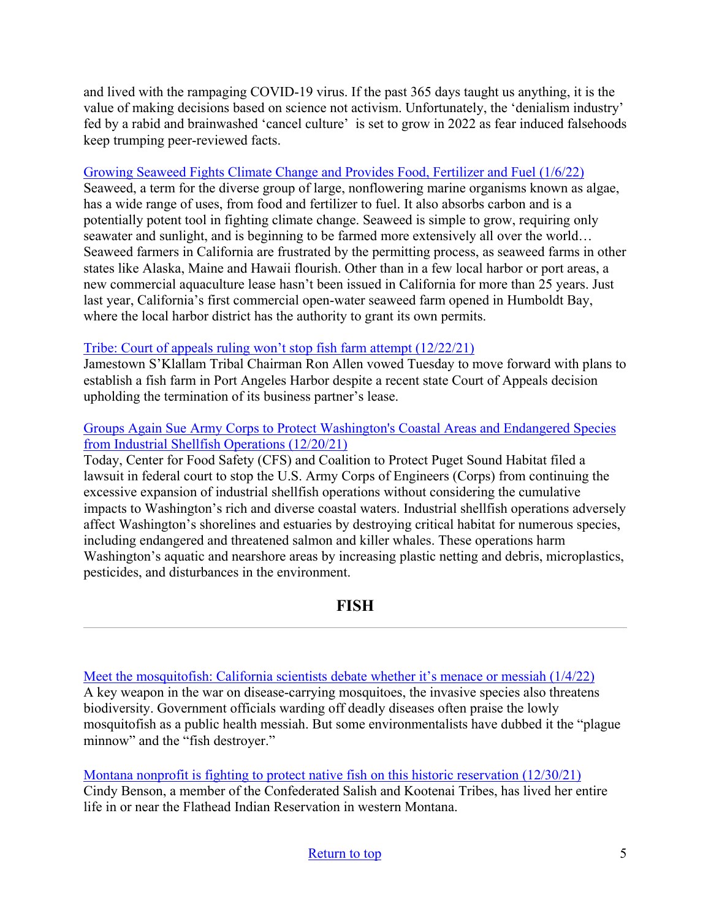and lived with the rampaging COVID-19 virus. If the past 365 days taught us anything, it is the value of making decisions based on science not activism. Unfortunately, the 'denialism industry' fed by a rabid and brainwashed 'cancel culture' is set to grow in 2022 as fear induced falsehoods keep trumping peer-reviewed facts.

#### [Growing Seaweed Fights Climate Change and Provides Food, Fertilizer and Fuel \(1/6/22\)](https://www.ecowatch.com/growing-seaweed-fights-climate-change.html)

Seaweed, a term for the diverse group of large, nonflowering marine organisms known as algae, has a wide range of uses, from food and fertilizer to fuel. It also absorbs carbon and is a potentially potent tool in fighting climate change. Seaweed is simple to grow, requiring only seawater and sunlight, and is beginning to be farmed more extensively all over the world… Seaweed farmers in California are frustrated by the permitting process, as seaweed farms in other states like Alaska, Maine and Hawaii flourish. Other than in a few local harbor or port areas, a new commercial aquaculture lease hasn't been issued in California for more than 25 years. Just last year, California's first commercial open-water seaweed farm opened in Humboldt Bay, where the local harbor district has the authority to grant its own permits.

#### [Tribe: Court of appeals ruling won't stop fish farm attempt \(12/22/21\)](https://www.peninsuladailynews.com/news/tribe-court-of-appeals-ruling-wont-stop-fish-farm-attempt/)

Jamestown S'Klallam Tribal Chairman Ron Allen vowed Tuesday to move forward with plans to establish a fish farm in Port Angeles Harbor despite a recent state Court of Appeals decision upholding the termination of its business partner's lease.

#### [Groups Again Sue Army Corps to Protect Washington's Coastal Areas and Endangered Species](https://www.commondreams.org/newswire/2021/12/20/groups-again-sue-army-corps-protect-washingtons-coastal-areas-and-endangered)  [from Industrial Shellfish Operations \(12/20/21\)](https://www.commondreams.org/newswire/2021/12/20/groups-again-sue-army-corps-protect-washingtons-coastal-areas-and-endangered)

Today, Center for Food Safety (CFS) and Coalition to Protect Puget Sound Habitat filed a lawsuit in federal court to stop the U.S. Army Corps of Engineers (Corps) from continuing the excessive expansion of industrial shellfish operations without considering the cumulative impacts to Washington's rich and diverse coastal waters. Industrial shellfish operations adversely affect Washington's shorelines and estuaries by destroying critical habitat for numerous species, including endangered and threatened salmon and killer whales. These operations harm Washington's aquatic and nearshore areas by increasing plastic netting and debris, microplastics, pesticides, and disturbances in the environment.

## **FISH**

<span id="page-4-0"></span>[Meet the mosquitofish: California scientists debate whether it's menace or messiah \(1/4/22\)](https://www.mercurynews.com/2022/01/04/meet-the-mosquitofish-california-scientists-debate-whether-its-menace-or-messiah/) A key weapon in the war on disease-carrying mosquitoes, the invasive species also threatens biodiversity. Government officials warding off deadly diseases often praise the lowly mosquitofish as a public health messiah. But some environmentalists have dubbed it the "plague minnow" and the "fish destroyer."

[Montana nonprofit is fighting to protect native fish on this historic reservation \(12/30/21\)](https://www.cnn.com/2021/12/30/us/iyw-native-fish-keepers/index.html) Cindy Benson, a member of the Confederated Salish and Kootenai Tribes, has lived her entire life in or near the Flathead Indian Reservation in western Montana.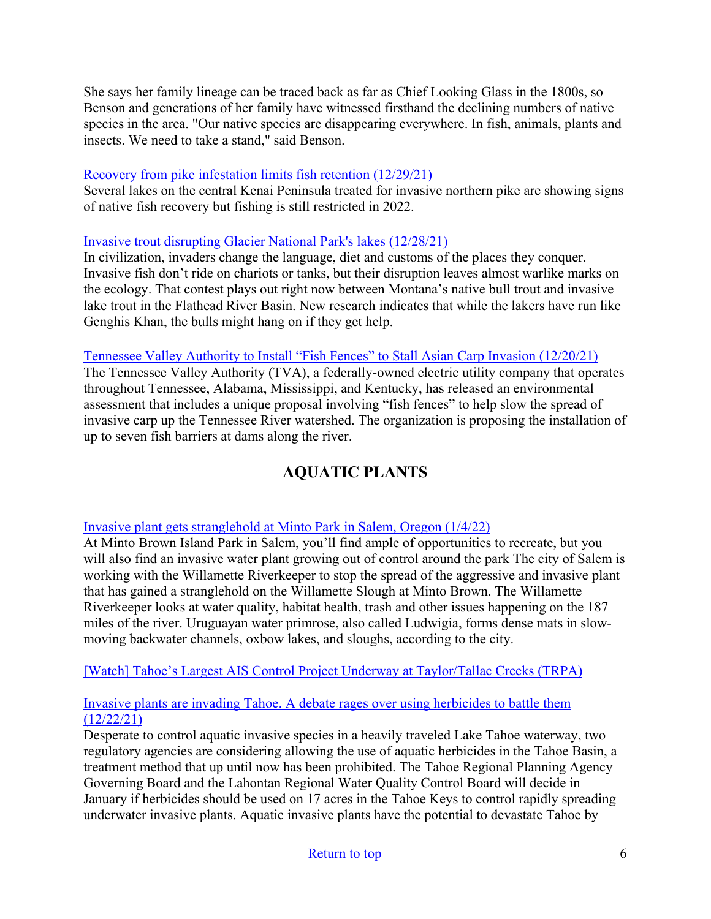She says her family lineage can be traced back as far as Chief Looking Glass in the 1800s, so Benson and generations of her family have witnessed firsthand the declining numbers of native species in the area. "Our native species are disappearing everywhere. In fish, animals, plants and insects. We need to take a stand," said Benson.

#### [Recovery from pike infestation limits fish retention \(12/29/21\)](https://www.kdll.org/post/recovery-pike-infestation-limits-fish-retention#stream/0)

Several lakes on the central Kenai Peninsula treated for invasive northern pike are showing signs of native fish recovery but fishing is still restricted in 2022.

#### [Invasive trout disrupting Glacier National Park's lakes \(12/28/21\)](https://www.telegraphherald.com/ap/national/article_ce7bcfeb-c0a2-5424-b8a7-b244725f5992.html)

In civilization, invaders change the language, diet and customs of the places they conquer. Invasive fish don't ride on chariots or tanks, but their disruption leaves almost warlike marks on the ecology. That contest plays out right now between Montana's native bull trout and invasive lake trout in the Flathead River Basin. New research indicates that while the lakers have run like Genghis Khan, the bulls might hang on if they get help.

#### [Tennessee Valley Authority to Install "Fish Fences" to Stall Asian Carp Invasion \(12/20/21\)](https://www.fieldandstream.com/conservation/tva-proposes-asian-carp-fish-fences/)

The Tennessee Valley Authority (TVA), a federally-owned electric utility company that operates throughout Tennessee, Alabama, Mississippi, and Kentucky, has released an environmental assessment that includes a unique proposal involving "fish fences" to help slow the spread of invasive carp up the Tennessee River watershed. The organization is proposing the installation of up to seven fish barriers at dams along the river.

# **AQUATIC PLANTS**

#### <span id="page-5-0"></span>[Invasive plant gets stranglehold at Minto Park in Salem, Oregon \(1/4/22\)](https://www.koin.com/news/invasive-plant-gets-stranglehold-at-minto-park-in-salem/)

At Minto Brown Island Park in Salem, you'll find ample of opportunities to recreate, but you will also find an invasive water plant growing out of control around the park The city of Salem is working with the Willamette Riverkeeper to stop the spread of the aggressive and invasive plant that has gained a stranglehold on the Willamette Slough at Minto Brown. The Willamette Riverkeeper looks at water quality, habitat health, trash and other issues happening on the 187 miles of the river. Uruguayan water primrose, also called Ludwigia, forms dense mats in slowmoving backwater channels, oxbow lakes, and sloughs, according to the city.

[\[Watch\] Tahoe's Largest AIS Control Project Underway at Taylor/Tallac Creeks \(TRPA\)](https://vimeo.com/655074252)

#### [Invasive plants are invading Tahoe. A debate rages over using herbicides to battle them](https://www.rgj.com/story/news/2021/12/22/herbicides-considered-battle-aquatic-invasive-plants-tahoe-keys/8977684002/)  [\(12/22/21\)](https://www.rgj.com/story/news/2021/12/22/herbicides-considered-battle-aquatic-invasive-plants-tahoe-keys/8977684002/)

Desperate to control aquatic invasive species in a heavily traveled Lake Tahoe waterway, two regulatory agencies are considering allowing the use of aquatic herbicides in the Tahoe Basin, a treatment method that up until now has been prohibited. The Tahoe Regional Planning Agency Governing Board and the Lahontan Regional Water Quality Control Board will decide in January if herbicides should be used on 17 acres in the Tahoe Keys to control rapidly spreading underwater invasive plants. Aquatic invasive plants have the potential to devastate Tahoe by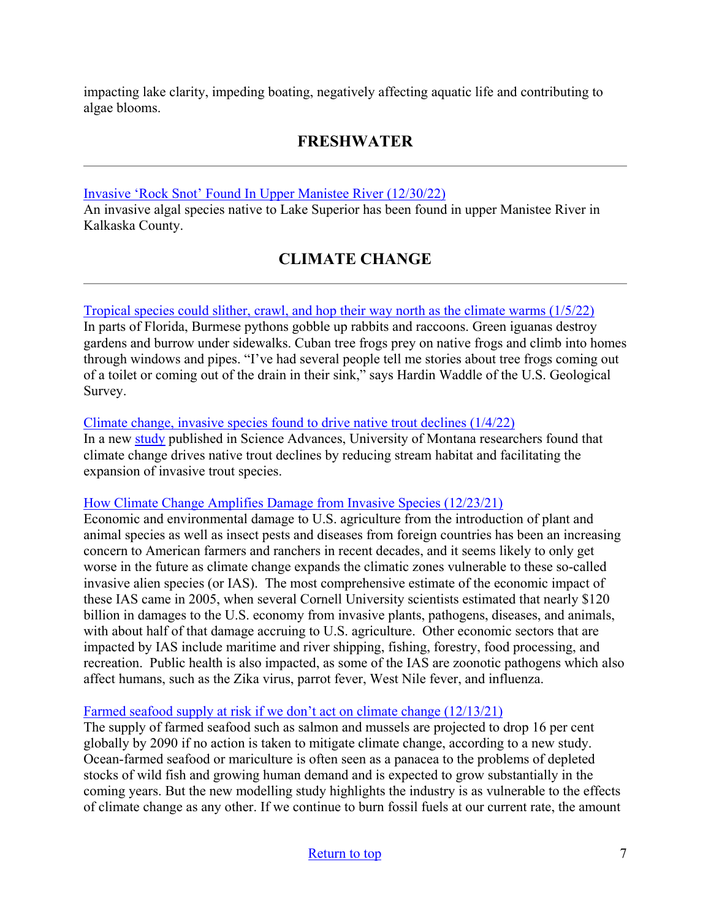<span id="page-6-0"></span>impacting lake clarity, impeding boating, negatively affecting aquatic life and contributing to algae blooms.

# **FRESHWATER**

[Invasive 'Rock Snot' Found In Upper Manistee River \(12/30/22\)](https://www.9and10news.com/2021/12/30/invasive-rock-snot-found-in-upper-manistee-river/?utm_medium=email&utm_source=govdelivery)

<span id="page-6-1"></span>An invasive algal species native to Lake Superior has been found in upper Manistee River in Kalkaska County.

# **CLIMATE CHANGE**

## [Tropical species could slither, crawl, and hop their way north as the climate warms \(1/5/22\)](https://yaleclimateconnections.org/2022/01/tropical-species-could-slither-crawl-and-hop-their-way-north-as-the-climate-warms/)

In parts of Florida, Burmese pythons gobble up rabbits and raccoons. Green iguanas destroy gardens and burrow under sidewalks. Cuban tree frogs prey on native frogs and climb into homes through windows and pipes. "I've had several people tell me stories about tree frogs coming out of a toilet or coming out of the drain in their sink," says Hardin Waddle of the U.S. Geological Survey.

#### [Climate change, invasive species found to drive native trout declines \(1/4/22\)](https://phys.org/news/2022-01-climate-invasive-species-native-trout.html)

In a new [study](https://www.science.org/doi/10.1126/sciadv.abj5471) published in Science Advances, University of Montana researchers found that climate change drives native trout declines by reducing stream habitat and facilitating the expansion of invasive trout species.

#### [How Climate Change Amplifies Damage from Invasive Species \(12/23/21\)](https://www.agweb.com/opinion/how-climate-change-amplifies-damage-invasive-species)

Economic and environmental damage to U.S. agriculture from the introduction of plant and animal species as well as insect pests and diseases from foreign countries has been an increasing concern to American farmers and ranchers in recent decades, and it seems likely to only get worse in the future as climate change expands the climatic zones vulnerable to these so-called invasive alien species (or IAS). The most comprehensive estimate of the economic impact of these IAS came in 2005, when several Cornell University scientists estimated that nearly \$120 billion in damages to the U.S. economy from invasive plants, pathogens, diseases, and animals, with about half of that damage accruing to U.S. agriculture. Other economic sectors that are impacted by IAS include maritime and river shipping, fishing, forestry, food processing, and recreation. Public health is also impacted, as some of the IAS are zoonotic pathogens which also affect humans, such as the Zika virus, parrot fever, West Nile fever, and influenza.

#### [Farmed seafood supply at risk if we don't act on climate change \(12/13/21\)](https://www.sciencedaily.com/releases/2021/12/211213111643.htm)

The supply of farmed seafood such as salmon and mussels are projected to drop 16 per cent globally by 2090 if no action is taken to mitigate climate change, according to a new study. Ocean-farmed seafood or mariculture is often seen as a panacea to the problems of depleted stocks of wild fish and growing human demand and is expected to grow substantially in the coming years. But the new modelling study highlights the industry is as vulnerable to the effects of climate change as any other. If we continue to burn fossil fuels at our current rate, the amount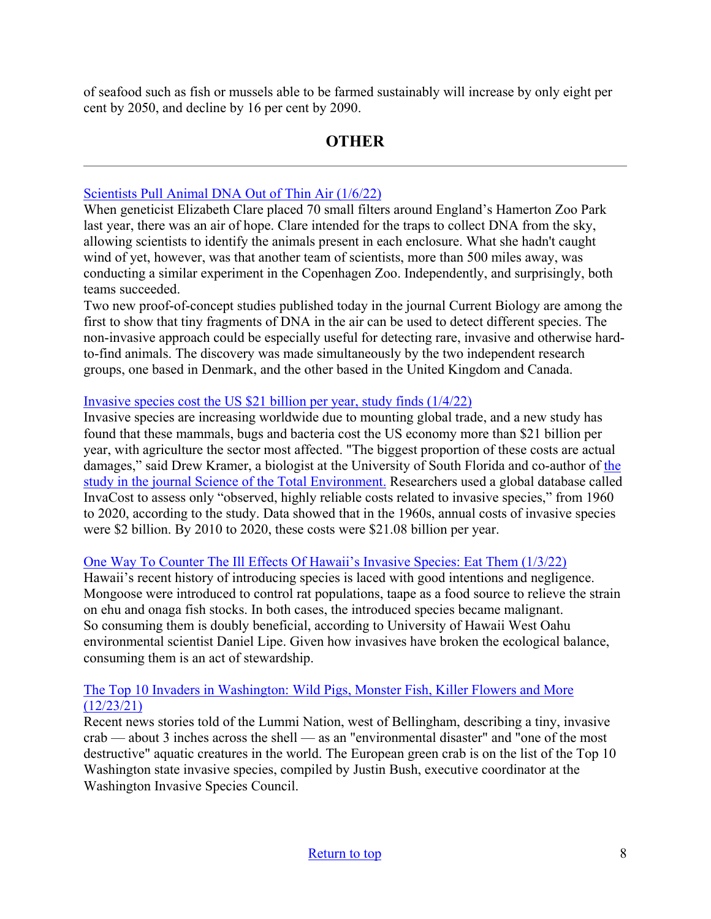<span id="page-7-0"></span>of seafood such as fish or mussels able to be farmed sustainably will increase by only eight per cent by 2050, and decline by 16 per cent by 2090.

## **OTHER**

#### [Scientists Pull Animal DNA Out of Thin Air \(1/6/22\)](https://www.smithsonianmag.com/science/scientists-pull-animal-dna-out-of-thin-air-180979324/)

When geneticist Elizabeth Clare placed 70 small filters around England's Hamerton Zoo Park last year, there was an air of hope. Clare intended for the traps to collect DNA from the sky, allowing scientists to identify the animals present in each enclosure. What she hadn't caught wind of yet, however, was that another team of scientists, more than 500 miles away, was conducting a similar experiment in the Copenhagen Zoo. Independently, and surprisingly, both teams succeeded.

Two new proof-of-concept studies published today in the journal Current Biology are among the first to show that tiny fragments of DNA in the air can be used to detect different species. The non-invasive approach could be especially useful for detecting rare, invasive and otherwise hardto-find animals. The discovery was made simultaneously by the two independent research groups, one based in Denmark, and the other based in the United Kingdom and Canada.

## [Invasive species cost the US \\$21 billion per year, study finds \(1/4/22\)](https://news.wgcu.org/2022-01-04/invasive-species-cost-the-us-21-billion-per-year-study-finds)

Invasive species are increasing worldwide due to mounting global trade, and a new study has found that these mammals, bugs and bacteria cost the US economy more than \$21 billion per year, with agriculture the sector most affected. "The biggest proportion of these costs are actual damages," said Drew Kramer, a biologist at the University of South Florida and co-author of [the](https://www.sciencedirect.com/science/article/pii/S0048969721063968?via%3Dihub)  [study in the journal Science of the Total Environment.](https://www.sciencedirect.com/science/article/pii/S0048969721063968?via%3Dihub) Researchers used a global database called InvaCost to assess only "observed, highly reliable costs related to invasive species," from 1960 to 2020, according to the study. Data showed that in the 1960s, annual costs of invasive species were \$2 billion. By 2010 to 2020, these costs were \$21.08 billion per year.

#### [One Way To Counter The Ill Effects Of Hawaii's Invasive Species: Eat Them \(1/3/22\)](https://www.civilbeat.org/2022/01/one-way-to-counter-the-ill-effects-of-hawaiis-invasive-species-eat-them/)

Hawaii's recent history of introducing species is laced with good intentions and negligence. Mongoose were introduced to control rat populations, taape as a food source to relieve the strain on ehu and onaga fish stocks. In both cases, the introduced species became malignant. So consuming them is doubly beneficial, according to University of Hawaii West Oahu environmental scientist Daniel Lipe. Given how invasives have broken the ecological balance, consuming them is an act of stewardship.

## [The Top 10 Invaders in Washington: Wild Pigs, Monster Fish, Killer Flowers and More](https://www.chronline.com/stories/the-top-10-invaders-in-washington-wild-pigs-monster-fish-killer-flowers-and-more,281481?)  [\(12/23/21\)](https://www.chronline.com/stories/the-top-10-invaders-in-washington-wild-pigs-monster-fish-killer-flowers-and-more,281481?)

Recent news stories told of the Lummi Nation, west of Bellingham, describing a tiny, invasive crab — about 3 inches across the shell — as an "environmental disaster" and "one of the most destructive" aquatic creatures in the world. The European green crab is on the list of the Top 10 Washington state invasive species, compiled by Justin Bush, executive coordinator at the Washington Invasive Species Council.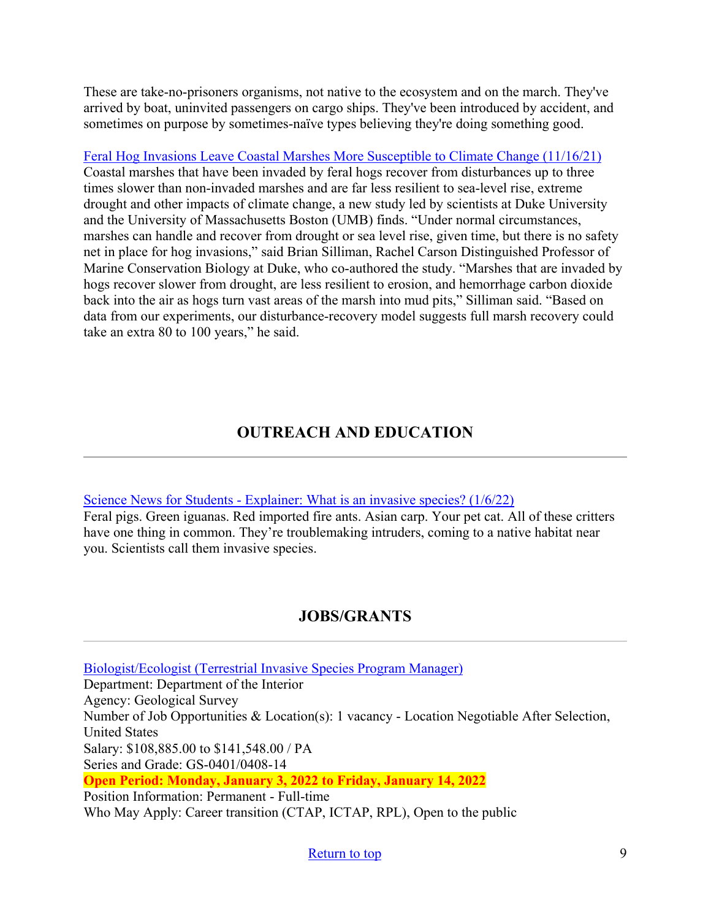These are take-no-prisoners organisms, not native to the ecosystem and on the march. They've arrived by boat, uninvited passengers on cargo ships. They've been introduced by accident, and sometimes on purpose by sometimes-naïve types believing they're doing something good.

[Feral Hog Invasions Leave Coastal Marshes More Susceptible to Climate Change \(11/16/21\)](https://nicholas.duke.edu/news/feral-hog-invasions-leave-coastal-marshes-more-susceptible-climate-change?utm_source=feedburner&utm_medium=email) Coastal marshes that have been invaded by feral hogs recover from disturbances up to three times slower than non-invaded marshes and are far less resilient to sea-level rise, extreme drought and other impacts of climate change, a new study led by scientists at Duke University and the University of Massachusetts Boston (UMB) finds. "Under normal circumstances, marshes can handle and recover from drought or sea level rise, given time, but there is no safety net in place for hog invasions," said Brian Silliman, Rachel Carson Distinguished Professor of Marine Conservation Biology at Duke, who co-authored the study. "Marshes that are invaded by hogs recover slower from drought, are less resilient to erosion, and hemorrhage carbon dioxide back into the air as hogs turn vast areas of the marsh into mud pits," Silliman said. "Based on data from our experiments, our disturbance-recovery model suggests full marsh recovery could take an extra 80 to 100 years," he said.

# **OUTREACH AND EDUCATION**

#### [Science News for Students - Explainer: What is an invasive species? \(1/6/22\)](https://www.sciencenewsforstudents.org/article/explainer-invasive-species-plants-animals-ecosystems)

Feral pigs. Green iguanas. Red imported fire ants. Asian carp. Your pet cat. All of these critters have one thing in common. They're troublemaking intruders, coming to a native habitat near you. Scientists call them invasive species.

## **JOBS/GRANTS**

<span id="page-8-0"></span>[Biologist/Ecologist \(Terrestrial Invasive Species Program Manager\)](https://www.usajobs.gov/job/627425300) Department: Department of the Interior Agency: Geological Survey Number of Job Opportunities & Location(s): 1 vacancy - Location Negotiable After Selection, United States Salary: \$108,885.00 to \$141,548.00 / PA Series and Grade: GS-0401/0408-14 **Open Period: Monday, January 3, 2022 to Friday, January 14, 2022**  Position Information: Permanent - Full-time Who May Apply: Career transition (CTAP, ICTAP, RPL), Open to the public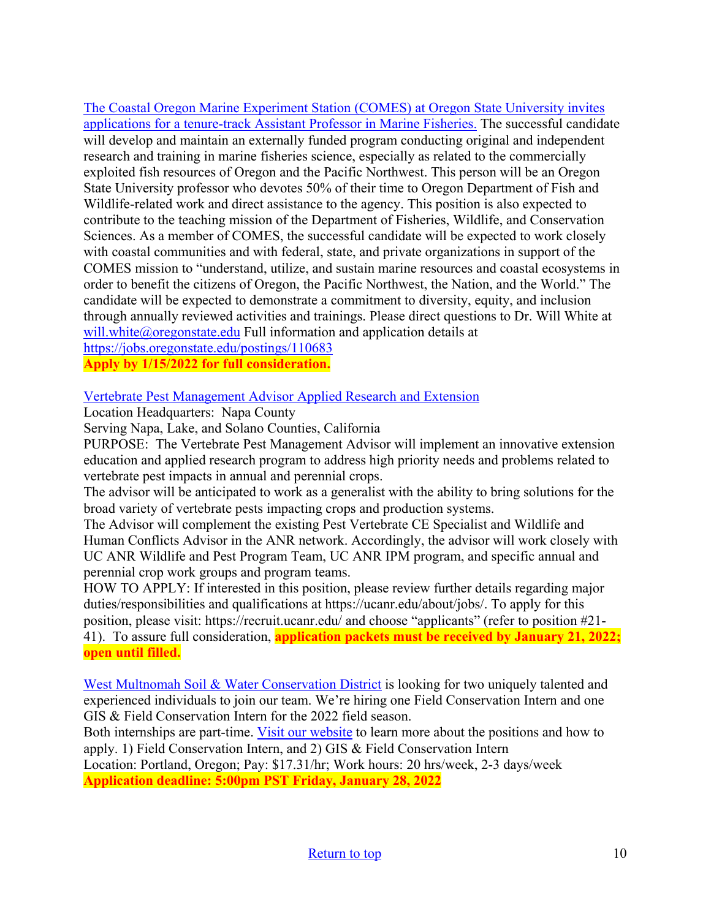[The Coastal Oregon Marine Experiment Station \(COMES\) at Oregon State University invites](https://jobs.oregonstate.edu/postings/110683)  [applications for a tenure-track Assistant Professor in Marine Fisheries.](https://jobs.oregonstate.edu/postings/110683) The successful candidate will develop and maintain an externally funded program conducting original and independent research and training in marine fisheries science, especially as related to the commercially exploited fish resources of Oregon and the Pacific Northwest. This person will be an Oregon State University professor who devotes 50% of their time to Oregon Department of Fish and Wildlife-related work and direct assistance to the agency. This position is also expected to contribute to the teaching mission of the Department of Fisheries, Wildlife, and Conservation Sciences. As a member of COMES, the successful candidate will be expected to work closely with coastal communities and with federal, state, and private organizations in support of the COMES mission to "understand, utilize, and sustain marine resources and coastal ecosystems in order to benefit the citizens of Oregon, the Pacific Northwest, the Nation, and the World." The candidate will be expected to demonstrate a commitment to diversity, equity, and inclusion through annually reviewed activities and trainings. Please direct questions to Dr. Will White at will.white $@o$ regonstate.edu Full information and application details at <https://jobs.oregonstate.edu/postings/110683>

**Apply by 1/15/2022 for full consideration.**

#### [Vertebrate Pest Management Advisor Applied Research and Extension](https://careers.wildlife.org/jobs/view/vertebrate-pest-management-advisor/59971851/?utm_medium=email&utm_source=getresponse&utm_content=This+Week%27s+eWildlifer+%26+TWS+Talks&utm_campaign=)

Location Headquarters: Napa County

Serving Napa, Lake, and Solano Counties, California

PURPOSE: The Vertebrate Pest Management Advisor will implement an innovative extension education and applied research program to address high priority needs and problems related to vertebrate pest impacts in annual and perennial crops.

The advisor will be anticipated to work as a generalist with the ability to bring solutions for the broad variety of vertebrate pests impacting crops and production systems.

The Advisor will complement the existing Pest Vertebrate CE Specialist and Wildlife and Human Conflicts Advisor in the ANR network. Accordingly, the advisor will work closely with UC ANR Wildlife and Pest Program Team, UC ANR IPM program, and specific annual and perennial crop work groups and program teams.

HOW TO APPLY: If interested in this position, please review further details regarding major duties/responsibilities and qualifications at https://ucanr.edu/about/jobs/. To apply for this position, please visit: https://recruit.ucanr.edu/ and choose "applicants" (refer to position #21- 41). To assure full consideration, **application packets must be received by January 21, 2022; open until filled.**

[West Multnomah Soil & Water Conservation District](https://wmswcd.org/2022-conservation-internships-job-announcement/) is looking for two uniquely talented and experienced individuals to join our team. We're hiring one Field Conservation Intern and one GIS & Field Conservation Intern for the 2022 field season.

Both internships are part-time. [Visit our website](https://wmswcd.org/2022-conservation-internships-job-announcement/) to learn more about the positions and how to apply. 1) Field Conservation Intern, and 2) GIS & Field Conservation Intern Location: Portland, Oregon; Pay: \$17.31/hr; Work hours: 20 hrs/week, 2-3 days/week **Application deadline: 5:00pm PST Friday, January 28, 2022**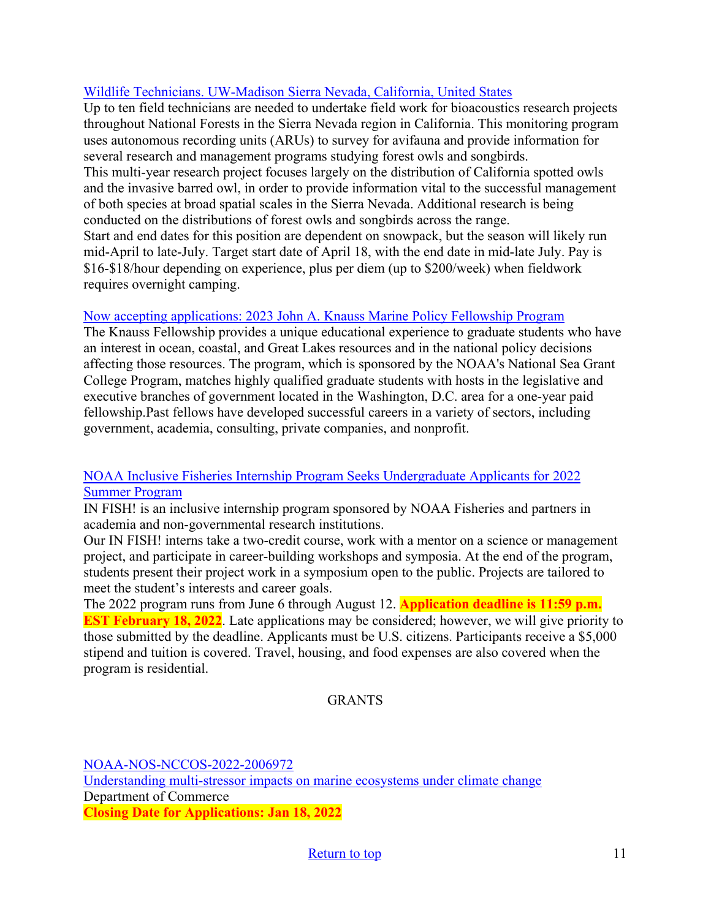## [Wildlife Technicians. UW-Madison Sierra Nevada, California, United States](https://careers.wildlife.org/jobs/view/wildlife-technicians/60063903/?utm_medium=email&utm_source=getresponse&utm_content=This+Week%27s+eWildlifer+%26+TWS+Talks&utm_campaign=)

Up to ten field technicians are needed to undertake field work for bioacoustics research projects throughout National Forests in the Sierra Nevada region in California. This monitoring program uses autonomous recording units (ARUs) to survey for avifauna and provide information for several research and management programs studying forest owls and songbirds. This multi-year research project focuses largely on the distribution of California spotted owls and the invasive barred owl, in order to provide information vital to the successful management of both species at broad spatial scales in the Sierra Nevada. Additional research is being conducted on the distributions of forest owls and songbirds across the range. Start and end dates for this position are dependent on snowpack, but the season will likely run mid-April to late-July. Target start date of April 18, with the end date in mid-late July. Pay is \$16-\$18/hour depending on experience, plus per diem (up to \$200/week) when fieldwork requires overnight camping.

#### [Now accepting applications: 2023 John A. Knauss Marine Policy Fellowship Program](https://caseagrant.ucsd.edu/fellowships/john-a-knauss-marine-policy-fellowship)

The Knauss Fellowship provides a unique educational experience to graduate students who have an interest in ocean, coastal, and Great Lakes resources and in the national policy decisions affecting those resources. The program, which is sponsored by the NOAA's National Sea Grant College Program, matches highly qualified graduate students with hosts in the legislative and executive branches of government located in the Washington, D.C. area for a one-year paid fellowship.Past fellows have developed successful careers in a variety of sectors, including government, academia, consulting, private companies, and nonprofit.

#### [NOAA Inclusive Fisheries Internship Program Seeks Undergraduate Applicants for 2022](https://www.fisheries.noaa.gov/feature-story/noaa-inclusive-fisheries-internship-program-seeks-undergraduate-applicants-2022-summer?utm_medium=email&utm_source=govdelivery)  [Summer Program](https://www.fisheries.noaa.gov/feature-story/noaa-inclusive-fisheries-internship-program-seeks-undergraduate-applicants-2022-summer?utm_medium=email&utm_source=govdelivery)

IN FISH! is an inclusive internship program sponsored by NOAA Fisheries and partners in academia and non-governmental research institutions.

Our IN FISH! interns take a two-credit course, work with a mentor on a science or management project, and participate in career-building workshops and symposia. At the end of the program, students present their project work in a symposium open to the public. Projects are tailored to meet the student's interests and career goals.

The 2022 program runs from June 6 through August 12. **Application deadline is 11:59 p.m. EST February 18, 2022**. Late applications may be considered; however, we will give priority to those submitted by the deadline. Applicants must be U.S. citizens. Participants receive a \$5,000 stipend and tuition is covered. Travel, housing, and food expenses are also covered when the program is residential.

#### GRANTS

[NOAA-NOS-NCCOS-2022-2006972](https://www.grants.gov/web/grants/view-opportunity.html?oppId=334906)  [Understanding multi-stressor impacts on marine ecosystems under climate change](https://www.grants.gov/web/grants/view-opportunity.html?oppId=334906) Department of Commerce **Closing Date for Applications: Jan 18, 2022**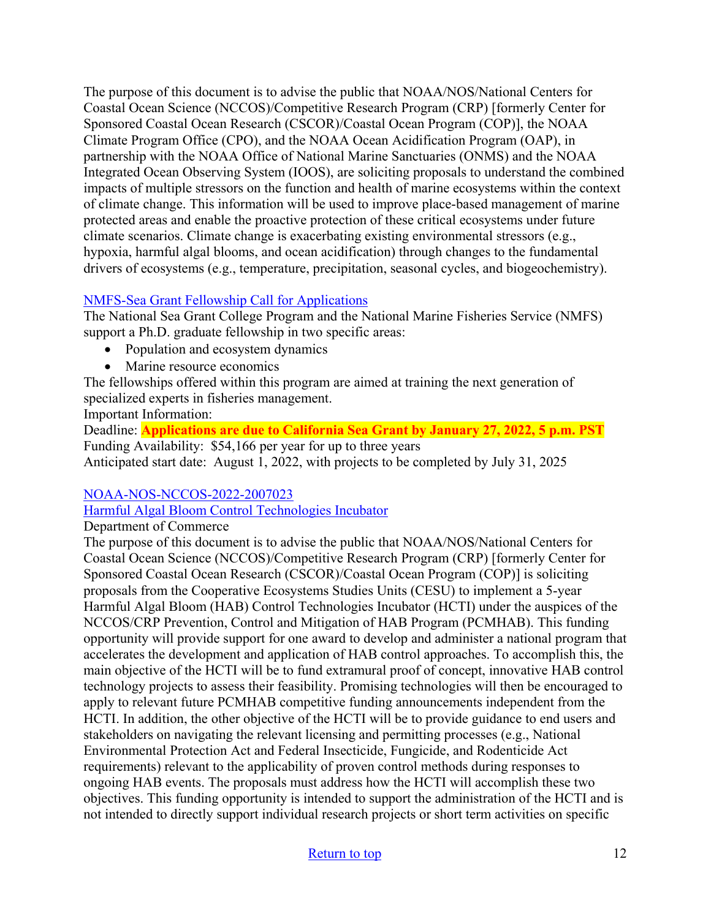The purpose of this document is to advise the public that NOAA/NOS/National Centers for Coastal Ocean Science (NCCOS)/Competitive Research Program (CRP) [formerly Center for Sponsored Coastal Ocean Research (CSCOR)/Coastal Ocean Program (COP)], the NOAA Climate Program Office (CPO), and the NOAA Ocean Acidification Program (OAP), in partnership with the NOAA Office of National Marine Sanctuaries (ONMS) and the NOAA Integrated Ocean Observing System (IOOS), are soliciting proposals to understand the combined impacts of multiple stressors on the function and health of marine ecosystems within the context of climate change. This information will be used to improve place-based management of marine protected areas and enable the proactive protection of these critical ecosystems under future climate scenarios. Climate change is exacerbating existing environmental stressors (e.g., hypoxia, harmful algal blooms, and ocean acidification) through changes to the fundamental drivers of ecosystems (e.g., temperature, precipitation, seasonal cycles, and biogeochemistry).

## [NMFS-Sea Grant Fellowship Call for Applications](https://caseagrant.ucsd.edu/fellowships/2022-nmfs-sea-grant-fellowship-in-population-and-ecosystem-dynamics-and-marine-resource)

The National Sea Grant College Program and the National Marine Fisheries Service (NMFS) support a Ph.D. graduate fellowship in two specific areas:

- Population and ecosystem dynamics
- Marine resource economics

The fellowships offered within this program are aimed at training the next generation of specialized experts in fisheries management.

Important Information:

Deadline: **Applications are due to California Sea Grant by January 27, 2022, 5 p.m. PST** Funding Availability: \$54,166 per year for up to three years Anticipated start date: August 1, 2022, with projects to be completed by July 31, 2025

## [NOAA-NOS-NCCOS-2022-2007023](https://www.grants.gov/web/grants/view-opportunity.html?oppId=335726)

## [Harmful Algal Bloom Control Technologies Incubator](https://www.grants.gov/web/grants/view-opportunity.html?oppId=335726)

Department of Commerce

The purpose of this document is to advise the public that NOAA/NOS/National Centers for Coastal Ocean Science (NCCOS)/Competitive Research Program (CRP) [formerly Center for Sponsored Coastal Ocean Research (CSCOR)/Coastal Ocean Program (COP)] is soliciting proposals from the Cooperative Ecosystems Studies Units (CESU) to implement a 5-year Harmful Algal Bloom (HAB) Control Technologies Incubator (HCTI) under the auspices of the NCCOS/CRP Prevention, Control and Mitigation of HAB Program (PCMHAB). This funding opportunity will provide support for one award to develop and administer a national program that accelerates the development and application of HAB control approaches. To accomplish this, the main objective of the HCTI will be to fund extramural proof of concept, innovative HAB control technology projects to assess their feasibility. Promising technologies will then be encouraged to apply to relevant future PCMHAB competitive funding announcements independent from the HCTI. In addition, the other objective of the HCTI will be to provide guidance to end users and stakeholders on navigating the relevant licensing and permitting processes (e.g., National Environmental Protection Act and Federal Insecticide, Fungicide, and Rodenticide Act requirements) relevant to the applicability of proven control methods during responses to ongoing HAB events. The proposals must address how the HCTI will accomplish these two objectives. This funding opportunity is intended to support the administration of the HCTI and is not intended to directly support individual research projects or short term activities on specific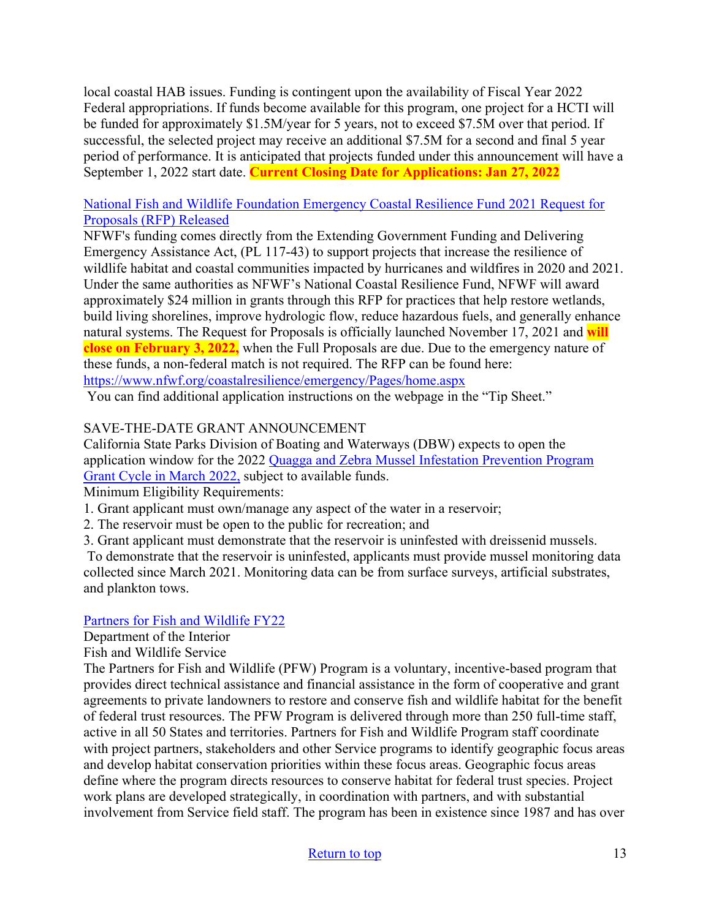local coastal HAB issues. Funding is contingent upon the availability of Fiscal Year 2022 Federal appropriations. If funds become available for this program, one project for a HCTI will be funded for approximately \$1.5M/year for 5 years, not to exceed \$7.5M over that period. If successful, the selected project may receive an additional \$7.5M for a second and final 5 year period of performance. It is anticipated that projects funded under this announcement will have a September 1, 2022 start date. **Current Closing Date for Applications: Jan 27, 2022**

#### [National Fish and Wildlife Foundation Emergency Coastal Resilience Fund 2021 Request for](https://www.google.com/url?q=https://lnks.gd/l/eyJhbGciOiJIUzI1NiJ9.eyJidWxsZXRpbl9saW5rX2lkIjoxMDEsInVyaSI6ImJwMjpjbGljayIsImJ1bGxldGluX2lkIjoiMjAyMTEyMDIuNDk2NDEwNjEiLCJ1cmwiOiJodHRwczovL3d3dy5uZndmLm9yZy9jb2FzdGFscmVzaWxpZW5jZS9lbWVyZ2VuY3kvUGFnZXMvaG9tZS5hc3B4P3V0bV9tZWRpdW09ZW1haWwmdXRtX3NvdXJjZT1nb3ZkZWxpdmVyeSJ9.Ooh_DqGNJHSaRhURSbRM2TjOI7V-NfWpTfeNYm-WOy8/s/725557401/br/122097868443-l&source=gmail&ust=1638577950803000&usg=AOvVaw3u5_6c16DJQSkVnUkW7_Ql)  [Proposals \(RFP\) Released](https://www.google.com/url?q=https://lnks.gd/l/eyJhbGciOiJIUzI1NiJ9.eyJidWxsZXRpbl9saW5rX2lkIjoxMDEsInVyaSI6ImJwMjpjbGljayIsImJ1bGxldGluX2lkIjoiMjAyMTEyMDIuNDk2NDEwNjEiLCJ1cmwiOiJodHRwczovL3d3dy5uZndmLm9yZy9jb2FzdGFscmVzaWxpZW5jZS9lbWVyZ2VuY3kvUGFnZXMvaG9tZS5hc3B4P3V0bV9tZWRpdW09ZW1haWwmdXRtX3NvdXJjZT1nb3ZkZWxpdmVyeSJ9.Ooh_DqGNJHSaRhURSbRM2TjOI7V-NfWpTfeNYm-WOy8/s/725557401/br/122097868443-l&source=gmail&ust=1638577950803000&usg=AOvVaw3u5_6c16DJQSkVnUkW7_Ql)

NFWF's funding comes directly from the Extending Government Funding and Delivering Emergency Assistance Act, (PL 117-43) to support projects that increase the resilience of wildlife habitat and coastal communities impacted by hurricanes and wildfires in 2020 and 2021. Under the same authorities as NFWF's National Coastal Resilience Fund, NFWF will award approximately \$24 million in grants through this RFP for practices that help restore wetlands, build living shorelines, improve hydrologic flow, reduce hazardous fuels, and generally enhance natural systems. The Request for Proposals is officially launched November 17, 2021 and **will close on February 3, 2022,** when the Full Proposals are due. Due to the emergency nature of these funds, a non-federal match is not required. The RFP can be found here: <https://www.nfwf.org/coastalresilience/emergency/Pages/home.aspx>

You can find additional application instructions on the webpage in the "Tip Sheet."

## SAVE-THE-DATE GRANT ANNOUNCEMENT

California State Parks Division of Boating and Waterways (DBW) expects to open the application window for the 2022 [Quagga and Zebra Mussel Infestation Prevention Program](http://dbw.parks.ca.gov/?page_id=28822)  [Grant Cycle in March 2022,](http://dbw.parks.ca.gov/?page_id=28822) subject to available funds.

Minimum Eligibility Requirements:

- 1. Grant applicant must own/manage any aspect of the water in a reservoir;
- 2. The reservoir must be open to the public for recreation; and
- 3. Grant applicant must demonstrate that the reservoir is uninfested with dreissenid mussels.

To demonstrate that the reservoir is uninfested, applicants must provide mussel monitoring data collected since March 2021. Monitoring data can be from surface surveys, artificial substrates, and plankton tows.

#### [Partners for Fish and Wildlife FY22](https://www.grants.gov/web/grants/view-opportunity.html?oppId=336921)

Department of the Interior

Fish and Wildlife Service

The Partners for Fish and Wildlife (PFW) Program is a voluntary, incentive-based program that provides direct technical assistance and financial assistance in the form of cooperative and grant agreements to private landowners to restore and conserve fish and wildlife habitat for the benefit of federal trust resources. The PFW Program is delivered through more than 250 full-time staff, active in all 50 States and territories. Partners for Fish and Wildlife Program staff coordinate with project partners, stakeholders and other Service programs to identify geographic focus areas and develop habitat conservation priorities within these focus areas. Geographic focus areas define where the program directs resources to conserve habitat for federal trust species. Project work plans are developed strategically, in coordination with partners, and with substantial involvement from Service field staff. The program has been in existence since 1987 and has over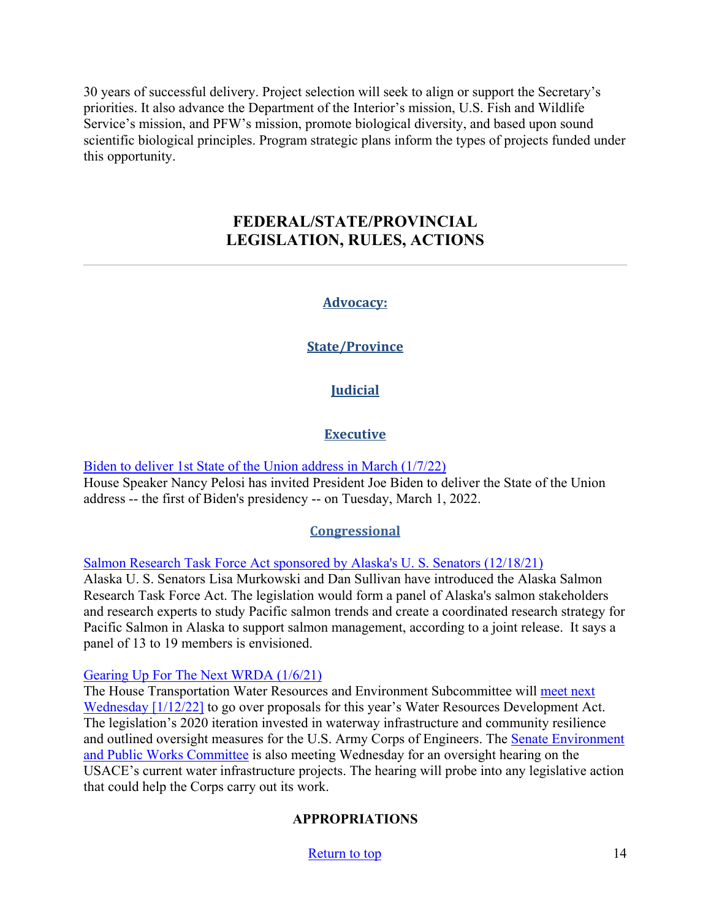<span id="page-13-0"></span>30 years of successful delivery. Project selection will seek to align or support the Secretary's priorities. It also advance the Department of the Interior's mission, U.S. Fish and Wildlife Service's mission, and PFW's mission, promote biological diversity, and based upon sound scientific biological principles. Program strategic plans inform the types of projects funded under this opportunity.

## **FEDERAL/STATE/PROVINCIAL LEGISLATION, RULES, ACTIONS**

## **Advocacy:**

## **State/Province**

## **Judicial**

## **Executive**

[Biden to deliver 1st State of the Union address in March \(1/7/22\)](https://abcnews.go.com/Politics/biden-deliver-1st-state-union-address-march/story?id=82138163) House Speaker Nancy Pelosi has invited President Joe Biden to deliver the State of the Union address -- the first of Biden's presidency -- on Tuesday, March 1, 2022.

#### **Congressional**

[Salmon Research Task Force Act sponsored by Alaska's U. S. Senators \(12/18/21\)](https://www.kinyradio.com/news/news-of-the-north/salmon-research-task-force-to-research-proposed-in-act-sponsored-by-alaskas-senators/)

Alaska U. S. Senators Lisa Murkowski and Dan Sullivan have introduced the Alaska Salmon Research Task Force Act. The legislation would form a panel of Alaska's salmon stakeholders and research experts to study Pacific salmon trends and create a coordinated research strategy for Pacific Salmon in Alaska to support salmon management, according to a joint release. It says a panel of 13 to 19 members is envisioned.

[Gearing Up For The Next WRDA \(1/6/21\)](https://www.politico.com/newsletters/morning-energy/2022/01/06/democrats-momentum-play-799696) 

The House Transportation Water Resources and Environment Subcommittee will [meet next](https://go.politicoemail.com/?qs=bb37a4f17305f2a3dadc6768931b74509ec93366ea86468f5ade10daf576af41f12643458380998eb9793a6eb968e86d)  [Wednesday](https://go.politicoemail.com/?qs=bb37a4f17305f2a3dadc6768931b74509ec93366ea86468f5ade10daf576af41f12643458380998eb9793a6eb968e86d) [1/12/22] to go over proposals for this year's Water Resources Development Act. The legislation's 2020 iteration invested in waterway infrastructure and community resilience and outlined oversight measures for the U.S. Army Corps of Engineers. The [Senate Environment](https://www.epw.senate.gov/public/index.cfm/hearings?ID=6A280AE4-5D19-401F-BF83-A7DE5B6F7EDF)  [and Public Works Committee](https://www.epw.senate.gov/public/index.cfm/hearings?ID=6A280AE4-5D19-401F-BF83-A7DE5B6F7EDF) is also meeting Wednesday for an oversight hearing on the USACE's current water infrastructure projects. The hearing will probe into any legislative action that could help the Corps carry out its work.

## **APPROPRIATIONS**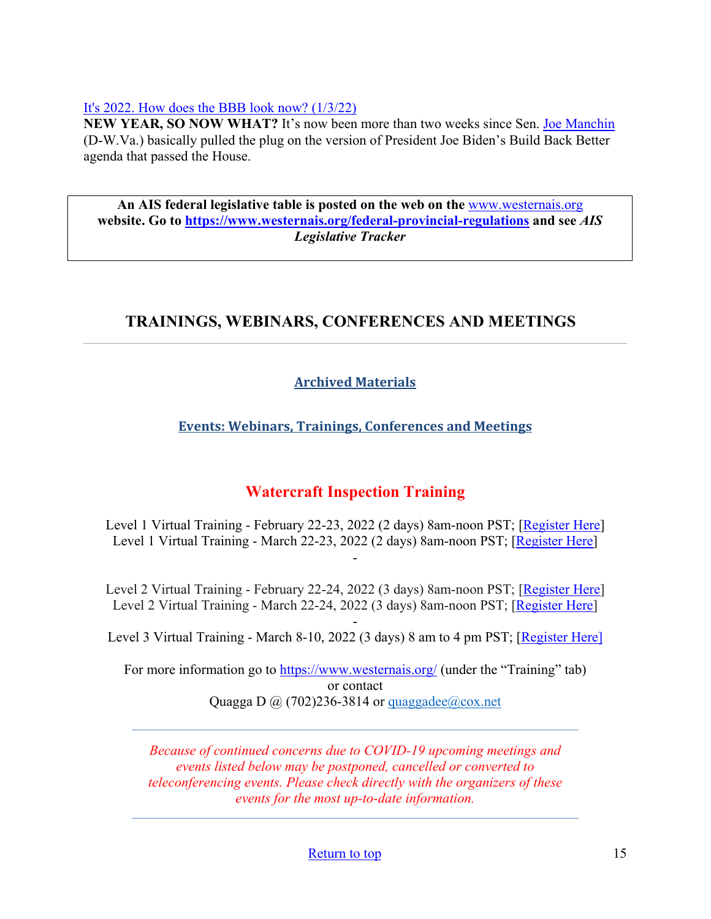#### [It's 2022. How does the BBB look now? \(1/3/22\)](https://www.politico.com/newsletters/weekly-tax/2022/01/03/its-2022-how-does-the-bbb-look-now-799633)

**NEW YEAR, SO NOW WHAT?** It's now been more than two weeks since Sen. [Joe Manchin](https://cd.politicopro.com/member/151825) (D-W.Va.) basically pulled the plug on the version of President Joe Biden's Build Back Better agenda that passed the House.

**An AIS federal legislative table is posted on the web on the** [www.westernais.org](http://www.westernais.org/) **website. Go to<https://www.westernais.org/federal-provincial-regulations> and see** *AIS Legislative Tracker*

# <span id="page-14-0"></span>**TRAININGS, WEBINARS, CONFERENCES AND MEETINGS**

## **Archived Materials**

## **Events: Webinars, Trainings, Conferences and Meetings**

## **Watercraft Inspection Training**

Level 1 Virtual Training - February 22-23, 2022 (2 days) 8am-noon PST; [\[Register Here\]](https://us02web.zoom.us/meeting/register/tZYrfuCsqD4qHNE2BOiqfC0RIGgYVmJwGHlD) Level 1 Virtual Training - March 22-23, 2022 (2 days) 8am-noon PST; [\[Register Here\]](https://us02web.zoom.us/meeting/register/tZcpcO-hpz8jGNJ6Weax-__pDobzlIzmahMU) -

Level 2 Virtual Training - February 22-24, 2022 (3 days) 8am-noon PST; [\[Register Here\]](https://us02web.zoom.us/meeting/register/tZYrfuCsqD4qHNE2BOiqfC0RIGgYVmJwGHlD) Level 2 Virtual Training - March 22-24, 2022 (3 days) 8am-noon PST; [\[Register Here\]](https://us02web.zoom.us/meeting/register/tZcpcO-hpz8jGNJ6Weax-__pDobzlIzmahMU)

- Level 3 Virtual Training - March 8-10, 2022 (3 days) 8 am to 4 pm PST; [\[Register Here\]](https://us02web.zoom.us/meeting/register/tZIqcOCspjgoGNZwELYrMT8J9RJzGDf94Aza)

For more information go to<https://www.westernais.org/> (under the "Training" tab) or contact Quagga D  $\omega$  (702)236-3814 or quaggadee $\omega$ cox.net

*Because of continued concerns due to COVID-19 upcoming meetings and events listed below may be postponed, cancelled or converted to teleconferencing events. Please check directly with the organizers of these events for the most up-to-date information.*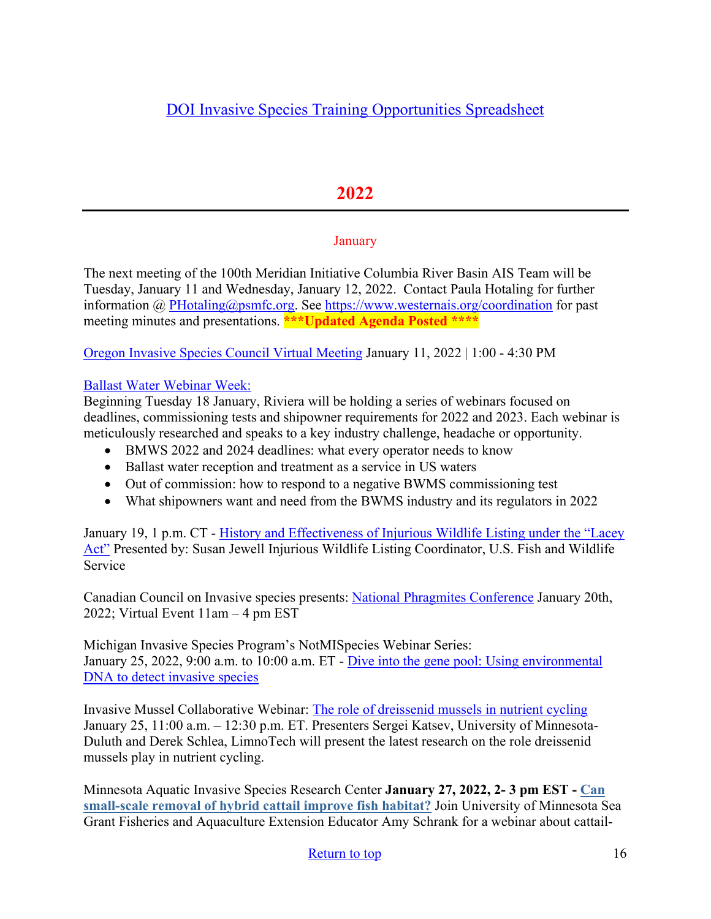# **2022**

## **January**

The next meeting of the 100th Meridian Initiative Columbia River Basin AIS Team will be Tuesday, January 11 and Wednesday, January 12, 2022.Contact Paula Hotaling for further information @ [PHotaling@psmfc.org.](mailto:PHotaling@psmfc.org) See<https://www.westernais.org/coordination>for past meeting minutes and presentations. **\*\*\*Updated Agenda Posted \*\*\*\*** 

[Oregon Invasive Species Council Virtual Meeting](https://www.oregoninvasivespeciescouncil.org/meetings) January 11, 2022 | 1:00 - 4:30 PM

## [Ballast Water Webinar Week:](https://www.rivieramm.com/events/ballast-water-webinar-week-5)

Beginning Tuesday 18 January, Riviera will be holding a series of webinars focused on deadlines, commissioning tests and shipowner requirements for 2022 and 2023. Each webinar is meticulously researched and speaks to a key industry challenge, headache or opportunity.

- BMWS 2022 and 2024 deadlines: what every operator needs to know
- Ballast water reception and treatment as a service in US waters
- Out of commission: how to respond to a negative BWMS commissioning test
- What shipowners want and need from the BWMS industry and its regulators in 2022

January 19, 1 p.m. CT - [History and Effectiveness of Injurious Wildlife Listing under the "Lacey](https://us02web.zoom.us/webinar/register/WN_CWioD48QTUKCGxz1rZxryw?utm_medium=email&utm_source=govdelivery)  [Act"](https://us02web.zoom.us/webinar/register/WN_CWioD48QTUKCGxz1rZxryw?utm_medium=email&utm_source=govdelivery) Presented by: Susan Jewell Injurious Wildlife Listing Coordinator, U.S. Fish and Wildlife Service

Canadian Council on Invasive species presents: [National Phragmites Conference](https://canadainvasives.ca/registration-is-now-open-for-canadas-1st-national-phragmites-conference/) January 20th, 2022; Virtual Event 11am – 4 pm EST

Michigan Invasive Species Program's NotMISpecies Webinar Series: January 25, 2022, 9:00 a.m. to 10:00 a.m. ET - [Dive into the gene pool: Using environmental](https://register.gotowebinar.com/register/2578339792420598797?utm_medium=email&utm_source=govdelivery)  [DNA to detect invasive species](https://register.gotowebinar.com/register/2578339792420598797?utm_medium=email&utm_source=govdelivery)

Invasive Mussel Collaborative Webinar: [The role of dreissenid mussels in nutrient cycling](https://invasivemusselcollaborative.net/event/webinar-role-of-dreissenid-mussels-in-nutrient-cycling/?utm_source=IMC+Webinars&utm_campaign=eef041c1b0-Invasive_Mussel_Collaborative_Webinar_1_19_2018_CO&utm_medium=email&utm_term=0_74dcc4f2ea-eef041c1b0-128742353) January 25, 11:00 a.m. – 12:30 p.m. ET. Presenters Sergei Katsev, University of Minnesota-Duluth and Derek Schlea, LimnoTech will present the latest research on the role dreissenid mussels play in nutrient cycling.

Minnesota Aquatic Invasive Species Research Center **January 27, 2022, 2- 3 pm EST - [Can](https://lnks.gd/l/eyJhbGciOiJIUzI1NiJ9.eyJidWxsZXRpbl9saW5rX2lkIjoxMTUsInVyaSI6ImJwMjpjbGljayIsImJ1bGxldGluX2lkIjoiMjAyMTEyMjAuNTA1ODEzMTEiLCJ1cmwiOiJodHRwczovL3NlYWdyYW50LnVtbi5lZHUvZXZlbnRzL2Nhbi1zbWFsbC1zY2FsZS1yZW1vdmFsLWh5YnJpZC1jYXR0YWlsLWltcHJvdmUtZmlzaC1oYWJpdGF0P3V0bV9tZWRpdW09ZW1haWwmdXRtX3NvdXJjZT1nb3ZkZWxpdmVyeSJ9.ROihnwHFek3ZpKZlgDX5yA5arcpiAUsm3e40LiW3wdg/s/955051654/br/123415836861-l)  [small-scale removal of hybrid cattail improve fish habitat?](https://lnks.gd/l/eyJhbGciOiJIUzI1NiJ9.eyJidWxsZXRpbl9saW5rX2lkIjoxMTUsInVyaSI6ImJwMjpjbGljayIsImJ1bGxldGluX2lkIjoiMjAyMTEyMjAuNTA1ODEzMTEiLCJ1cmwiOiJodHRwczovL3NlYWdyYW50LnVtbi5lZHUvZXZlbnRzL2Nhbi1zbWFsbC1zY2FsZS1yZW1vdmFsLWh5YnJpZC1jYXR0YWlsLWltcHJvdmUtZmlzaC1oYWJpdGF0P3V0bV9tZWRpdW09ZW1haWwmdXRtX3NvdXJjZT1nb3ZkZWxpdmVyeSJ9.ROihnwHFek3ZpKZlgDX5yA5arcpiAUsm3e40LiW3wdg/s/955051654/br/123415836861-l)** Join University of Minnesota Sea Grant Fisheries and Aquaculture Extension Educator Amy Schrank for a webinar about cattail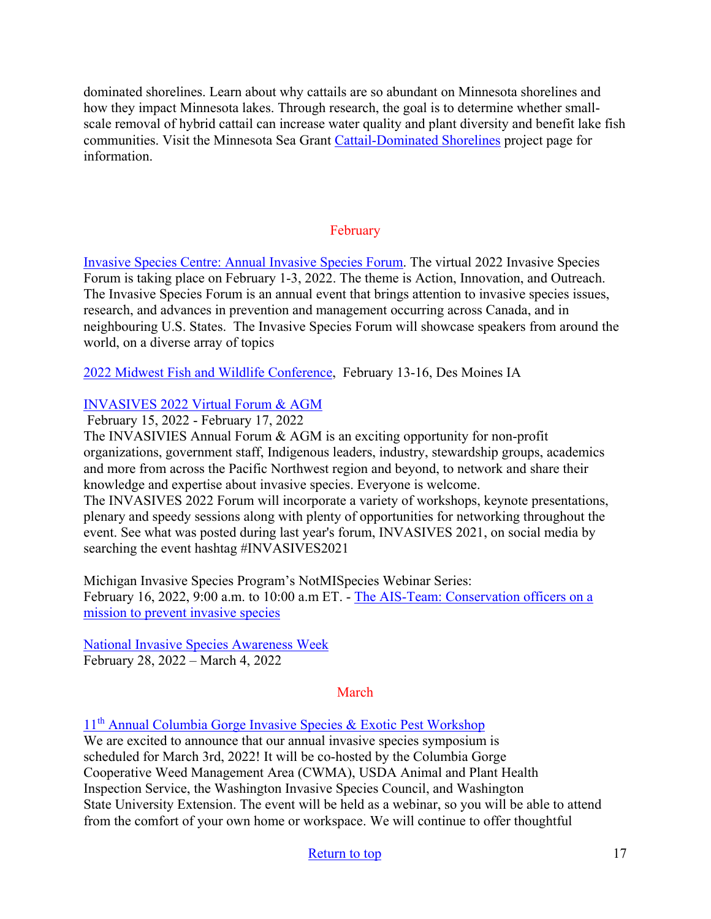dominated shorelines. Learn about why cattails are so abundant on Minnesota shorelines and how they impact Minnesota lakes. Through research, the goal is to determine whether smallscale removal of hybrid cattail can increase water quality and plant diversity and benefit lake fish communities. Visit the Minnesota Sea Grant [Cattail-Dominated Shorelines](https://seagrant.umn.edu/programs/fish-food-and-aquaculture-program/cattail-dominated-shorelines) project page for information.

## February

[Invasive Species Centre: Annual Invasive Species Forum.](https://www.invasivespeciescentre.ca/events/ontario-invasive-species-forum/?utm_medium=email&utm_source=govdelivery) The virtual 2022 Invasive Species Forum is taking place on February 1-3, 2022. The theme is Action, Innovation, and Outreach. The Invasive Species Forum is an annual event that brings attention to invasive species issues, research, and advances in prevention and management occurring across Canada, and in neighbouring U.S. States. The Invasive Species Forum will showcase speakers from around the world, on a diverse array of topics

[2022 Midwest Fish and Wildlife Conference,](http://www.midwestfw.org/html/call-for-symposia.shtml) February 13-16, Des Moines IA

## [INVASIVES 2022 Virtual Forum & AGM](https://pheedloop.com/invasives2022/site/home/)

February 15, 2022 - February 17, 2022

The INVASIVIES Annual Forum & AGM is an exciting opportunity for non-profit organizations, government staff, Indigenous leaders, industry, stewardship groups, academics and more from across the Pacific Northwest region and beyond, to network and share their knowledge and expertise about invasive species. Everyone is welcome.

The INVASIVES 2022 Forum will incorporate a variety of workshops, keynote presentations, plenary and speedy sessions along with plenty of opportunities for networking throughout the event. See what was posted during last year's forum, INVASIVES 2021, on social media by searching the event hashtag #INVASIVES2021

Michigan Invasive Species Program's NotMISpecies Webinar Series: February 16, 2022, 9:00 a.m. to 10:00 a.m ET. - [The AIS-Team: Conservation officers on a](https://register.gotowebinar.com/register/4837962631337528333?utm_medium=email&utm_source=govdelivery)  [mission to prevent invasive species](https://register.gotowebinar.com/register/4837962631337528333?utm_medium=email&utm_source=govdelivery)

[National Invasive Species Awareness Week](https://www.nisaw.org/?utm_medium=email&utm_source=govdelivery) February 28, 2022 – March 4, 2022

#### March

11th [Annual Columbia Gorge Invasive Species & Exotic Pest Workshop](https://extension.oregonstate.edu/events/2022-invasive-species-exotic-pest-workshop-save-date)

We are excited to announce that our annual invasive species symposium is scheduled for March 3rd, 2022! It will be co-hosted by the Columbia Gorge Cooperative Weed Management Area (CWMA), USDA Animal and Plant Health Inspection Service, the Washington Invasive Species Council, and Washington State University Extension. The event will be held as a webinar, so you will be able to attend from the comfort of your own home or workspace. We will continue to offer thoughtful